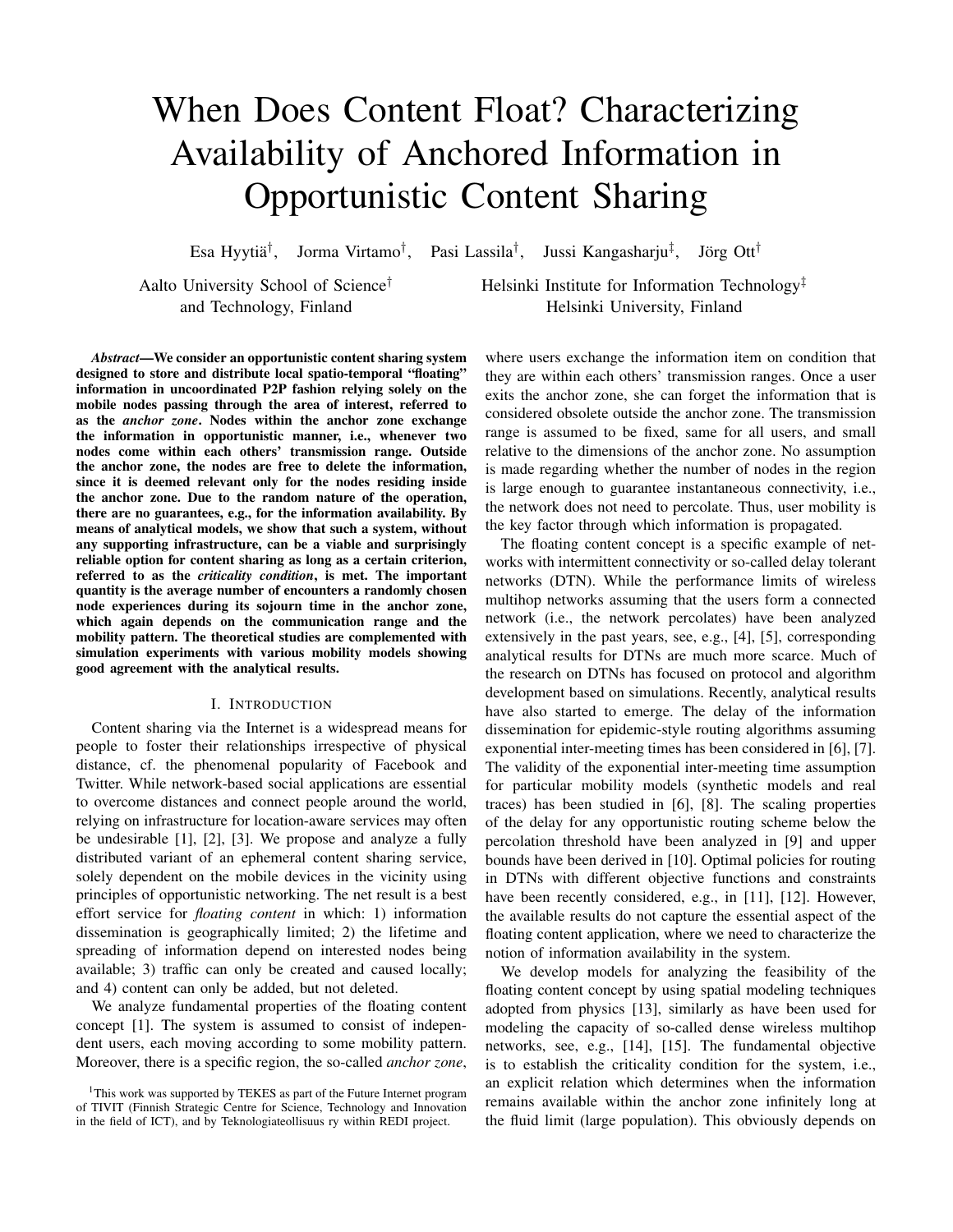# When Does Content Float? Characterizing Availability of Anchored Information in Opportunistic Content Sharing

Esa Hyytiä<sup>†</sup>, Jorma Virtamo<sup>†</sup>, Pasi Lassila<sup>†</sup>, Jussi Kangasharju<sup>‡</sup>, Jörg Ott<sup>†</sup>

Aalto University School of Science<sup>†</sup> Helsinki Institute for Information Technology<sup>†</sup> and Technology, Finland **Helsinki University**, Finland

*Abstract*—We consider an opportunistic content sharing system designed to store and distribute local spatio-temporal "floating" information in uncoordinated P2P fashion relying solely on the mobile nodes passing through the area of interest, referred to as the *anchor zone*. Nodes within the anchor zone exchange the information in opportunistic manner, i.e., whenever two nodes come within each others' transmission range. Outside the anchor zone, the nodes are free to delete the information, since it is deemed relevant only for the nodes residing inside the anchor zone. Due to the random nature of the operation, there are no guarantees, e.g., for the information availability. By means of analytical models, we show that such a system, without any supporting infrastructure, can be a viable and surprisingly reliable option for content sharing as long as a certain criterion, referred to as the *criticality condition*, is met. The important quantity is the average number of encounters a randomly chosen node experiences during its sojourn time in the anchor zone, which again depends on the communication range and the mobility pattern. The theoretical studies are complemented with simulation experiments with various mobility models showing good agreement with the analytical results.

# I. INTRODUCTION

Content sharing via the Internet is a widespread means for people to foster their relationships irrespective of physical distance, cf. the phenomenal popularity of Facebook and Twitter. While network-based social applications are essential to overcome distances and connect people around the world, relying on infrastructure for location-aware services may often be undesirable [1], [2], [3]. We propose and analyze a fully distributed variant of an ephemeral content sharing service, solely dependent on the mobile devices in the vicinity using principles of opportunistic networking. The net result is a best effort service for *floating content* in which: 1) information dissemination is geographically limited; 2) the lifetime and spreading of information depend on interested nodes being available; 3) traffic can only be created and caused locally; and 4) content can only be added, but not deleted.

We analyze fundamental properties of the floating content concept [1]. The system is assumed to consist of independent users, each moving according to some mobility pattern. Moreover, there is a specific region, the so-called *anchor zone*, where users exchange the information item on condition that they are within each others' transmission ranges. Once a user exits the anchor zone, she can forget the information that is considered obsolete outside the anchor zone. The transmission range is assumed to be fixed, same for all users, and small relative to the dimensions of the anchor zone. No assumption is made regarding whether the number of nodes in the region is large enough to guarantee instantaneous connectivity, i.e., the network does not need to percolate. Thus, user mobility is the key factor through which information is propagated.

The floating content concept is a specific example of networks with intermittent connectivity or so-called delay tolerant networks (DTN). While the performance limits of wireless multihop networks assuming that the users form a connected network (i.e., the network percolates) have been analyzed extensively in the past years, see, e.g., [4], [5], corresponding analytical results for DTNs are much more scarce. Much of the research on DTNs has focused on protocol and algorithm development based on simulations. Recently, analytical results have also started to emerge. The delay of the information dissemination for epidemic-style routing algorithms assuming exponential inter-meeting times has been considered in [6], [7]. The validity of the exponential inter-meeting time assumption for particular mobility models (synthetic models and real traces) has been studied in [6], [8]. The scaling properties of the delay for any opportunistic routing scheme below the percolation threshold have been analyzed in [9] and upper bounds have been derived in [10]. Optimal policies for routing in DTNs with different objective functions and constraints have been recently considered, e.g., in [11], [12]. However, the available results do not capture the essential aspect of the floating content application, where we need to characterize the notion of information availability in the system.

We develop models for analyzing the feasibility of the floating content concept by using spatial modeling techniques adopted from physics [13], similarly as have been used for modeling the capacity of so-called dense wireless multihop networks, see, e.g., [14], [15]. The fundamental objective is to establish the criticality condition for the system, i.e., an explicit relation which determines when the information remains available within the anchor zone infinitely long at the fluid limit (large population). This obviously depends on

<sup>&</sup>lt;sup>1</sup>This work was supported by TEKES as part of the Future Internet program of TIVIT (Finnish Strategic Centre for Science, Technology and Innovation in the field of ICT), and by Teknologiateollisuus ry within REDI project.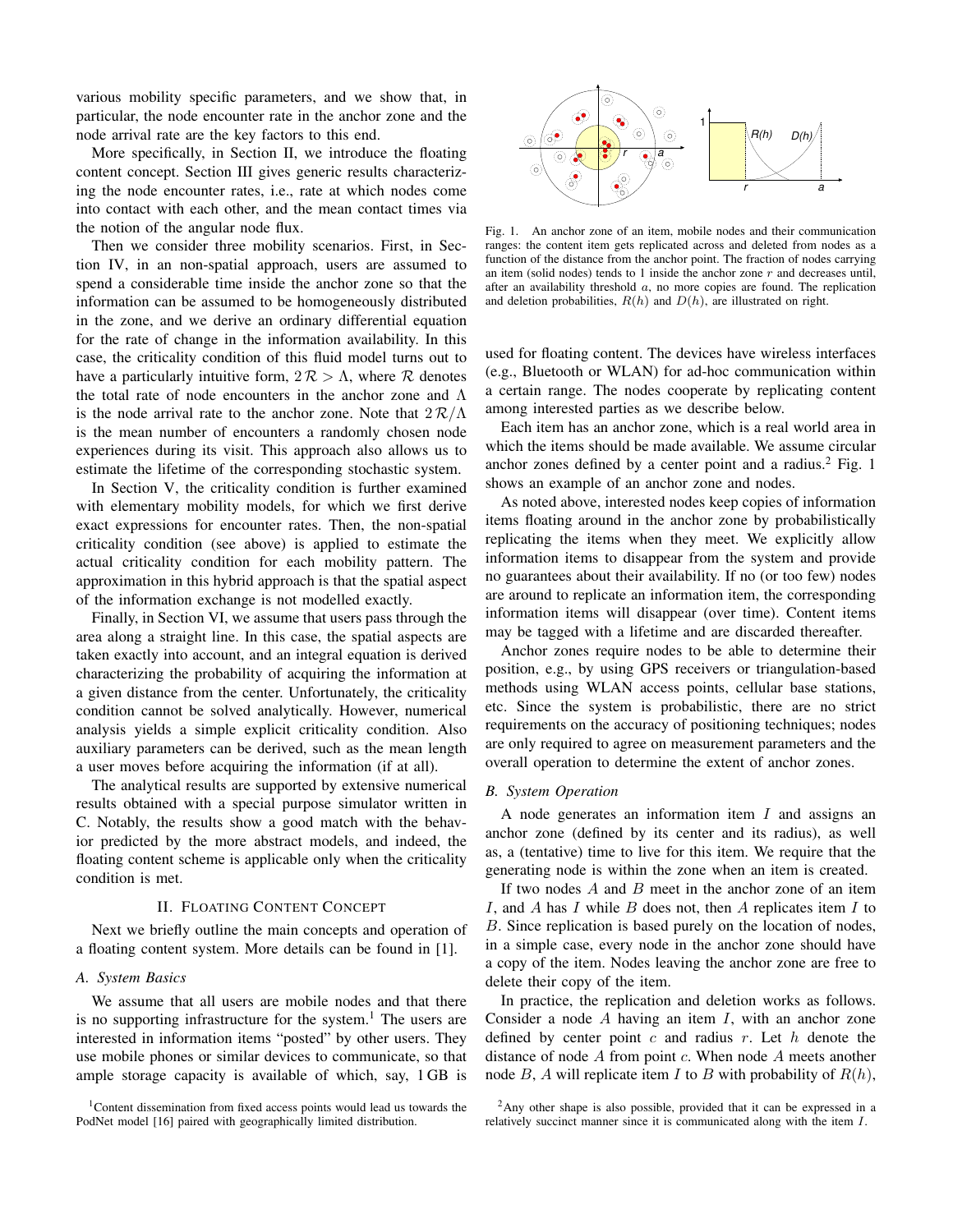various mobility specific parameters, and we show that, in particular, the node encounter rate in the anchor zone and the node arrival rate are the key factors to this end.

More specifically, in Section II, we introduce the floating content concept. Section III gives generic results characterizing the node encounter rates, i.e., rate at which nodes come into contact with each other, and the mean contact times via the notion of the angular node flux.

Then we consider three mobility scenarios. First, in Section IV, in an non-spatial approach, users are assumed to spend a considerable time inside the anchor zone so that the information can be assumed to be homogeneously distributed in the zone, and we derive an ordinary differential equation for the rate of change in the information availability. In this case, the criticality condition of this fluid model turns out to have a particularly intuitive form,  $2R > \Lambda$ , where R denotes the total rate of node encounters in the anchor zone and Λ is the node arrival rate to the anchor zone. Note that  $2R/\Lambda$ is the mean number of encounters a randomly chosen node experiences during its visit. This approach also allows us to estimate the lifetime of the corresponding stochastic system.

In Section V, the criticality condition is further examined with elementary mobility models, for which we first derive exact expressions for encounter rates. Then, the non-spatial criticality condition (see above) is applied to estimate the actual criticality condition for each mobility pattern. The approximation in this hybrid approach is that the spatial aspect of the information exchange is not modelled exactly.

Finally, in Section VI, we assume that users pass through the area along a straight line. In this case, the spatial aspects are taken exactly into account, and an integral equation is derived characterizing the probability of acquiring the information at a given distance from the center. Unfortunately, the criticality condition cannot be solved analytically. However, numerical analysis yields a simple explicit criticality condition. Also auxiliary parameters can be derived, such as the mean length a user moves before acquiring the information (if at all).

The analytical results are supported by extensive numerical results obtained with a special purpose simulator written in C. Notably, the results show a good match with the behavior predicted by the more abstract models, and indeed, the floating content scheme is applicable only when the criticality condition is met.

## II. FLOATING CONTENT CONCEPT

Next we briefly outline the main concepts and operation of a floating content system. More details can be found in [1].

## *A. System Basics*

We assume that all users are mobile nodes and that there is no supporting infrastructure for the system.<sup>1</sup> The users are interested in information items "posted" by other users. They use mobile phones or similar devices to communicate, so that ample storage capacity is available of which, say, 1 GB is



Fig. 1. An anchor zone of an item, mobile nodes and their communication ranges: the content item gets replicated across and deleted from nodes as a function of the distance from the anchor point. The fraction of nodes carrying an item (solid nodes) tends to 1 inside the anchor zone  $r$  and decreases until, after an availability threshold  $a$ , no more copies are found. The replication and deletion probabilities,  $R(h)$  and  $D(h)$ , are illustrated on right.

used for floating content. The devices have wireless interfaces (e.g., Bluetooth or WLAN) for ad-hoc communication within a certain range. The nodes cooperate by replicating content among interested parties as we describe below.

Each item has an anchor zone, which is a real world area in which the items should be made available. We assume circular anchor zones defined by a center point and a radius.<sup>2</sup> Fig. 1 shows an example of an anchor zone and nodes.

As noted above, interested nodes keep copies of information items floating around in the anchor zone by probabilistically replicating the items when they meet. We explicitly allow information items to disappear from the system and provide no guarantees about their availability. If no (or too few) nodes are around to replicate an information item, the corresponding information items will disappear (over time). Content items may be tagged with a lifetime and are discarded thereafter.

Anchor zones require nodes to be able to determine their position, e.g., by using GPS receivers or triangulation-based methods using WLAN access points, cellular base stations, etc. Since the system is probabilistic, there are no strict requirements on the accuracy of positioning techniques; nodes are only required to agree on measurement parameters and the overall operation to determine the extent of anchor zones.

## *B. System Operation*

A node generates an information item  $I$  and assigns an anchor zone (defined by its center and its radius), as well as, a (tentative) time to live for this item. We require that the generating node is within the zone when an item is created.

If two nodes  $A$  and  $B$  meet in the anchor zone of an item I, and A has I while B does not, then A replicates item I to B. Since replication is based purely on the location of nodes, in a simple case, every node in the anchor zone should have a copy of the item. Nodes leaving the anchor zone are free to delete their copy of the item.

In practice, the replication and deletion works as follows. Consider a node  $A$  having an item  $I$ , with an anchor zone defined by center point c and radius r. Let h denote the distance of node  $A$  from point  $c$ . When node  $A$  meets another node B, A will replicate item I to B with probability of  $R(h)$ ,

<sup>&</sup>lt;sup>1</sup>Content dissemination from fixed access points would lead us towards the PodNet model [16] paired with geographically limited distribution.

<sup>&</sup>lt;sup>2</sup>Any other shape is also possible, provided that it can be expressed in a relatively succinct manner since it is communicated along with the item I.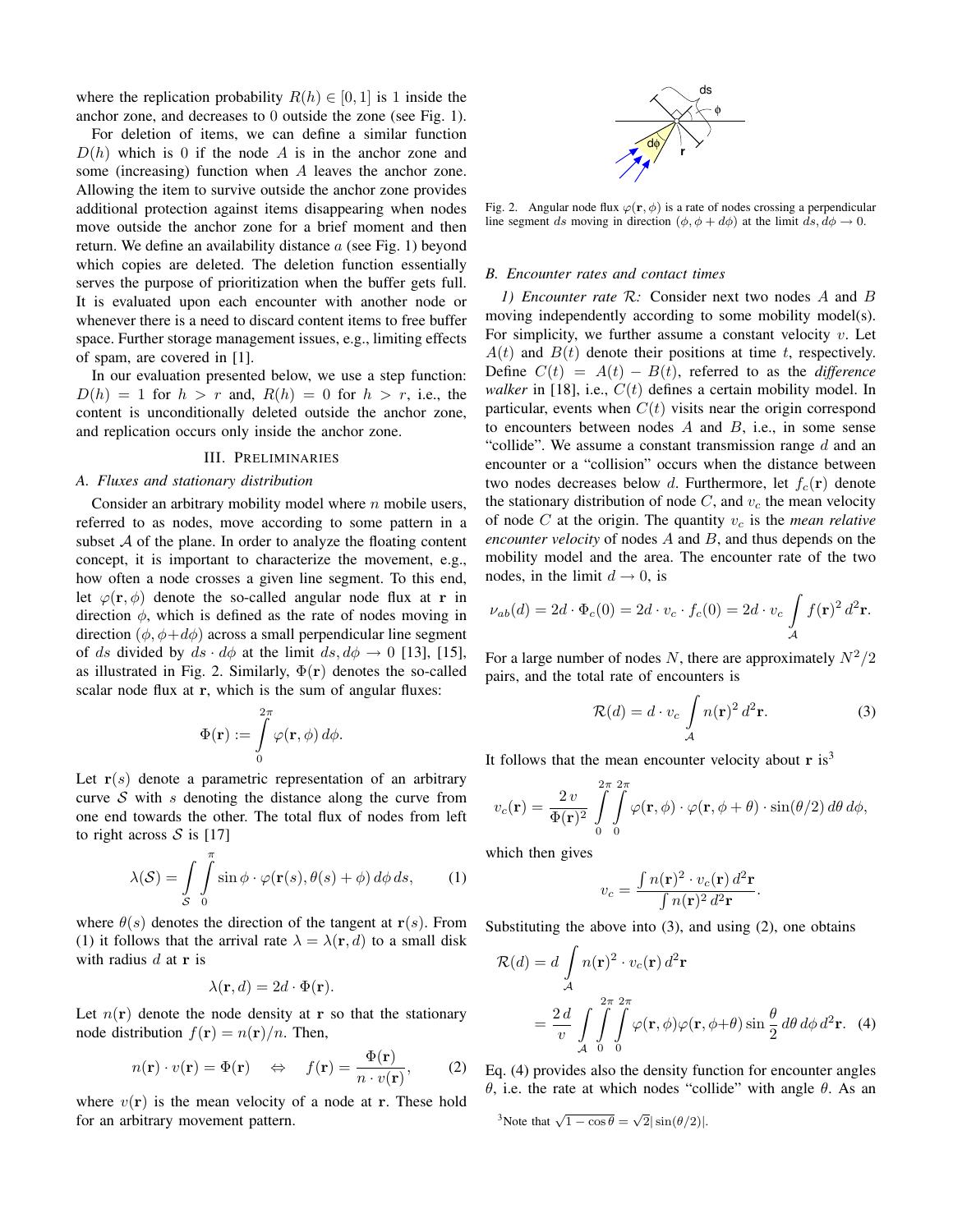where the replication probability  $R(h) \in [0, 1]$  is 1 inside the anchor zone, and decreases to 0 outside the zone (see Fig. 1).

For deletion of items, we can define a similar function  $D(h)$  which is 0 if the node A is in the anchor zone and some (increasing) function when A leaves the anchor zone. Allowing the item to survive outside the anchor zone provides additional protection against items disappearing when nodes move outside the anchor zone for a brief moment and then return. We define an availability distance  $a$  (see Fig. 1) beyond which copies are deleted. The deletion function essentially serves the purpose of prioritization when the buffer gets full. It is evaluated upon each encounter with another node or whenever there is a need to discard content items to free buffer space. Further storage management issues, e.g., limiting effects of spam, are covered in [1].

In our evaluation presented below, we use a step function:  $D(h) = 1$  for  $h > r$  and,  $R(h) = 0$  for  $h > r$ , i.e., the content is unconditionally deleted outside the anchor zone, and replication occurs only inside the anchor zone.

## III. PRELIMINARIES

# *A. Fluxes and stationary distribution*

Consider an arbitrary mobility model where  $n$  mobile users, referred to as nodes, move according to some pattern in a subset  $A$  of the plane. In order to analyze the floating content concept, it is important to characterize the movement, e.g., how often a node crosses a given line segment. To this end, let  $\varphi(\mathbf{r}, \phi)$  denote the so-called angular node flux at r in direction  $\phi$ , which is defined as the rate of nodes moving in direction  $(\phi, \phi + d\phi)$  across a small perpendicular line segment of ds divided by  $ds \cdot d\phi$  at the limit  $ds, d\phi \rightarrow 0$  [13], [15], as illustrated in Fig. 2. Similarly,  $\Phi(\mathbf{r})$  denotes the so-called scalar node flux at r, which is the sum of angular fluxes:

$$
\Phi(\mathbf{r}) := \int\limits_{0}^{2\pi} \varphi(\mathbf{r}, \phi) \, d\phi.
$$

Let  $r(s)$  denote a parametric representation of an arbitrary curve  $S$  with s denoting the distance along the curve from one end towards the other. The total flux of nodes from left to right across  $S$  is [17]

$$
\lambda(S) = \int_{S} \int_{0}^{\pi} \sin \phi \cdot \varphi(\mathbf{r}(s), \theta(s) + \phi) d\phi ds, \qquad (1)
$$

where  $\theta(s)$  denotes the direction of the tangent at  $r(s)$ . From (1) it follows that the arrival rate  $\lambda = \lambda(\mathbf{r}, d)$  to a small disk with radius  $d$  at r is

$$
\lambda(\mathbf{r}, d) = 2d \cdot \Phi(\mathbf{r}).
$$

Let  $n(r)$  denote the node density at r so that the stationary node distribution  $f(\mathbf{r}) = n(\mathbf{r})/n$ . Then,

$$
n(\mathbf{r}) \cdot v(\mathbf{r}) = \Phi(\mathbf{r}) \quad \Leftrightarrow \quad f(\mathbf{r}) = \frac{\Phi(\mathbf{r})}{n \cdot v(\mathbf{r})}, \tag{2}
$$

where  $v(\mathbf{r})$  is the mean velocity of a node at **r**. These hold for an arbitrary movement pattern.



Fig. 2. Angular node flux  $\varphi(\mathbf{r}, \phi)$  is a rate of nodes crossing a perpendicular line segment ds moving in direction  $(\phi, \phi + d\phi)$  at the limit  $ds, d\phi \rightarrow 0$ .

## *B. Encounter rates and contact times*

*1) Encounter rate* R*:* Consider next two nodes A and B moving independently according to some mobility model(s). For simplicity, we further assume a constant velocity  $v$ . Let  $A(t)$  and  $B(t)$  denote their positions at time t, respectively. Define  $C(t) = A(t) - B(t)$ , referred to as the *difference walker* in [18], i.e.,  $C(t)$  defines a certain mobility model. In particular, events when  $C(t)$  visits near the origin correspond to encounters between nodes  $A$  and  $B$ , i.e., in some sense "collide". We assume a constant transmission range  $d$  and an encounter or a "collision" occurs when the distance between two nodes decreases below d. Furthermore, let  $f_c(\mathbf{r})$  denote the stationary distribution of node  $C$ , and  $v_c$  the mean velocity of node  $C$  at the origin. The quantity  $v_c$  is the *mean relative encounter velocity* of nodes A and B, and thus depends on the mobility model and the area. The encounter rate of the two nodes, in the limit  $d \rightarrow 0$ , is

$$
\nu_{ab}(d) = 2d \cdot \Phi_c(0) = 2d \cdot v_c \cdot f_c(0) = 2d \cdot v_c \int_{\mathcal{A}} f(\mathbf{r})^2 d^2 \mathbf{r}.
$$

For a large number of nodes N, there are approximately  $N^2/2$ pairs, and the total rate of encounters is

$$
\mathcal{R}(d) = d \cdot v_c \int_{\mathcal{A}} n(\mathbf{r})^2 d^2 \mathbf{r}.
$$
 (3)

It follows that the mean encounter velocity about  $r$  is<sup>3</sup>

$$
v_c(\mathbf{r}) = \frac{2 v}{\Phi(\mathbf{r})^2} \int\limits_0^{2\pi} \int\limits_0^{2\pi} \varphi(\mathbf{r}, \phi) \cdot \varphi(\mathbf{r}, \phi + \theta) \cdot \sin(\theta/2) d\theta d\phi,
$$

which then gives

$$
v_c = \frac{\int n(\mathbf{r})^2 \cdot v_c(\mathbf{r}) d^2 \mathbf{r}}{\int n(\mathbf{r})^2 d^2 \mathbf{r}}.
$$

Substituting the above into  $(3)$ , and using  $(2)$ , one obtains

$$
\mathcal{R}(d) = d \int_{\mathcal{A}} n(\mathbf{r})^2 \cdot v_c(\mathbf{r}) d^2 \mathbf{r}
$$
  
= 
$$
\frac{2 d}{v} \int_{\mathcal{A}} \int_{0}^{2\pi} \int_{0}^{2\pi} \varphi(\mathbf{r}, \phi) \varphi(\mathbf{r}, \phi + \theta) \sin \frac{\theta}{2} d\theta d\phi d^2 \mathbf{r}.
$$
 (4)

Eq. (4) provides also the density function for encounter angles θ, i.e. the rate at which nodes "collide" with angle θ. As an

<sup>3</sup>Note that  $\sqrt{1-\cos\theta} = \sqrt{2}|\sin(\theta/2)|$ .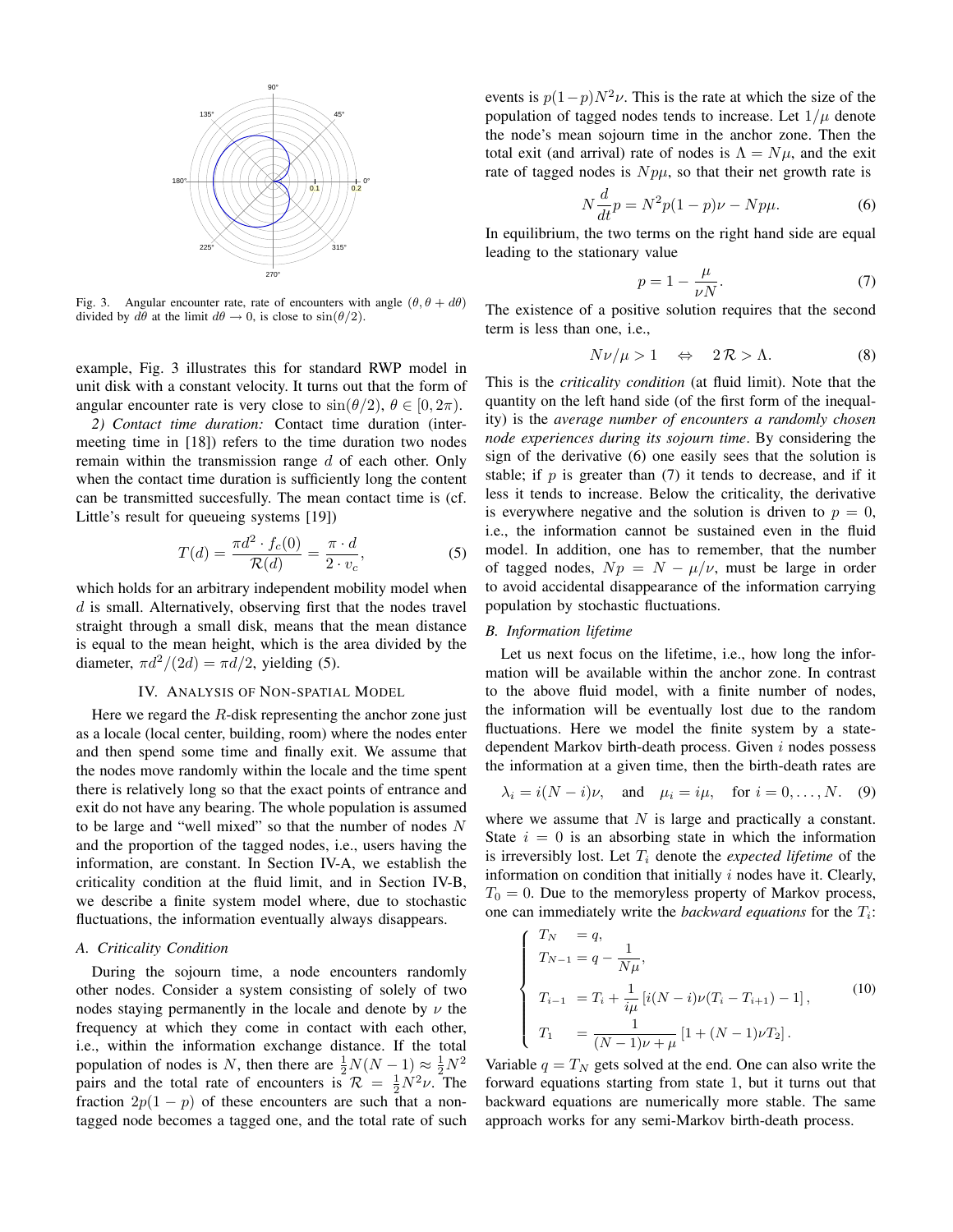

Fig. 3. Angular encounter rate, rate of encounters with angle  $(\theta, \theta + d\theta)$ divided by  $d\theta$  at the limit  $d\theta \to 0$ , is close to  $\sin(\theta/2)$ .

example, Fig. 3 illustrates this for standard RWP model in unit disk with a constant velocity. It turns out that the form of angular encounter rate is very close to  $\sin(\theta/2)$ ,  $\theta \in [0, 2\pi)$ .

*2) Contact time duration:* Contact time duration (intermeeting time in [18]) refers to the time duration two nodes remain within the transmission range  $d$  of each other. Only when the contact time duration is sufficiently long the content can be transmitted succesfully. The mean contact time is (cf. Little's result for queueing systems [19])

$$
T(d) = \frac{\pi d^2 \cdot f_c(0)}{\mathcal{R}(d)} = \frac{\pi \cdot d}{2 \cdot v_c},\tag{5}
$$

which holds for an arbitrary independent mobility model when  $d$  is small. Alternatively, observing first that the nodes travel straight through a small disk, means that the mean distance is equal to the mean height, which is the area divided by the diameter,  $\pi d^2/(2d) = \pi d/2$ , yielding (5).

## IV. ANALYSIS OF NON-SPATIAL MODEL

Here we regard the  $R$ -disk representing the anchor zone just as a locale (local center, building, room) where the nodes enter and then spend some time and finally exit. We assume that the nodes move randomly within the locale and the time spent there is relatively long so that the exact points of entrance and exit do not have any bearing. The whole population is assumed to be large and "well mixed" so that the number of nodes  $N$ and the proportion of the tagged nodes, i.e., users having the information, are constant. In Section IV-A, we establish the criticality condition at the fluid limit, and in Section IV-B, we describe a finite system model where, due to stochastic fluctuations, the information eventually always disappears.

# *A. Criticality Condition*

During the sojourn time, a node encounters randomly other nodes. Consider a system consisting of solely of two nodes staying permanently in the locale and denote by  $\nu$  the frequency at which they come in contact with each other, i.e., within the information exchange distance. If the total population of nodes is N, then there are  $\frac{1}{2}N(N-1) \approx \frac{1}{2}N^2$ pairs and the total rate of encounters is  $\mathcal{R} = \frac{1}{2}N^2 \nu$ . The fraction  $2p(1 - p)$  of these encounters are such that a nontagged node becomes a tagged one, and the total rate of such events is  $p(1-p)N^2\nu$ . This is the rate at which the size of the population of tagged nodes tends to increase. Let  $1/\mu$  denote the node's mean sojourn time in the anchor zone. Then the total exit (and arrival) rate of nodes is  $\Lambda = N\mu$ , and the exit rate of tagged nodes is  $N p\mu$ , so that their net growth rate is

$$
N\frac{d}{dt}p = N^2p(1-p)\nu - Np\mu.
$$
 (6)

In equilibrium, the two terms on the right hand side are equal leading to the stationary value

$$
p = 1 - \frac{\mu}{\nu N}.\tag{7}
$$

The existence of a positive solution requires that the second term is less than one, i.e.,

$$
N\nu/\mu > 1 \quad \Leftrightarrow \quad 2\mathcal{R} > \Lambda. \tag{8}
$$

This is the *criticality condition* (at fluid limit). Note that the quantity on the left hand side (of the first form of the inequality) is the *average number of encounters a randomly chosen node experiences during its sojourn time*. By considering the sign of the derivative (6) one easily sees that the solution is stable; if  $p$  is greater than (7) it tends to decrease, and if it less it tends to increase. Below the criticality, the derivative is everywhere negative and the solution is driven to  $p = 0$ , i.e., the information cannot be sustained even in the fluid model. In addition, one has to remember, that the number of tagged nodes,  $Np = N - \mu/\nu$ , must be large in order to avoid accidental disappearance of the information carrying population by stochastic fluctuations.

# *B. Information lifetime*

Let us next focus on the lifetime, i.e., how long the information will be available within the anchor zone. In contrast to the above fluid model, with a finite number of nodes, the information will be eventually lost due to the random fluctuations. Here we model the finite system by a statedependent Markov birth-death process. Given i nodes possess the information at a given time, then the birth-death rates are

$$
\lambda_i = i(N - i)\nu, \quad \text{and} \quad \mu_i = i\mu, \quad \text{for } i = 0, \dots, N. \tag{9}
$$

where we assume that  $N$  is large and practically a constant. State  $i = 0$  is an absorbing state in which the information is irreversibly lost. Let  $T_i$  denote the *expected lifetime* of the information on condition that initially  $i$  nodes have it. Clearly,  $T_0 = 0$ . Due to the memoryless property of Markov process, one can immediately write the *backward equations* for the  $T_i$ :

$$
\begin{cases}\nT_N = q, \\
T_{N-1} = q - \frac{1}{N\mu}, \\
T_{i-1} = T_i + \frac{1}{i\mu} [i(N-i)\nu(T_i - T_{i+1}) - 1], \\
T_1 = \frac{1}{(N-1)\nu + \mu} [1 + (N-1)\nu T_2].\n\end{cases}
$$
\n(10)

Variable  $q = T_N$  gets solved at the end. One can also write the forward equations starting from state 1, but it turns out that backward equations are numerically more stable. The same approach works for any semi-Markov birth-death process.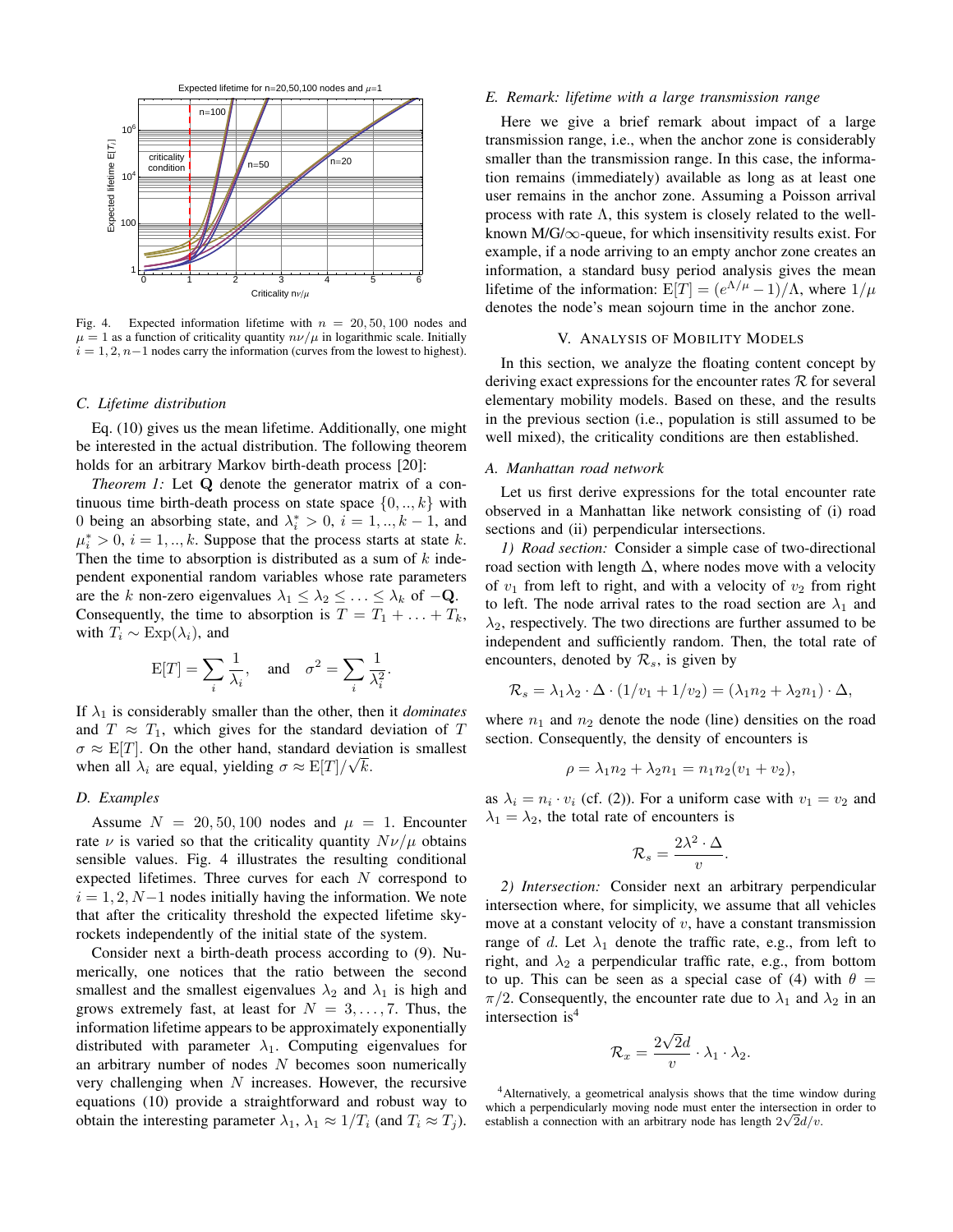

Fig. 4. Expected information lifetime with  $n = 20, 50, 100$  nodes and  $\mu = 1$  as a function of criticality quantity  $n\nu/\mu$  in logarithmic scale. Initially  $i = 1, 2, n-1$  nodes carry the information (curves from the lowest to highest).

## *C. Lifetime distribution*

Eq. (10) gives us the mean lifetime. Additionally, one might be interested in the actual distribution. The following theorem holds for an arbitrary Markov birth-death process [20]:

*Theorem 1:* Let **Q** denote the generator matrix of a continuous time birth-death process on state space  $\{0, \ldots, k\}$  with 0 being an absorbing state, and  $\lambda_i^* > 0$ ,  $i = 1, ..., k - 1$ , and  $\mu_i^* > 0$ ,  $i = 1, ..., k$ . Suppose that the process starts at state k. Then the time to absorption is distributed as a sum of  $k$  independent exponential random variables whose rate parameters are the k non-zero eigenvalues  $\lambda_1 \leq \lambda_2 \leq \ldots \leq \lambda_k$  of  $-\mathbf{Q}$ . Consequently, the time to absorption is  $T = T_1 + \ldots + T_k$ , with  $T_i \sim \text{Exp}(\lambda_i)$ , and

$$
E[T] = \sum_{i} \frac{1}{\lambda_i}, \text{ and } \sigma^2 = \sum_{i} \frac{1}{\lambda_i^2}
$$

.

If  $\lambda_1$  is considerably smaller than the other, then it *dominates* and  $T \approx T_1$ , which gives for the standard deviation of T  $\sigma \approx E[T]$ . On the other hand, standard deviation is smallest when all  $\lambda_i$  are equal, yielding  $\sigma \approx \mathbb{E}[T]/\sqrt{k}$ .

# *D. Examples*

Assume  $N = 20, 50, 100$  nodes and  $\mu = 1$ . Encounter rate  $\nu$  is varied so that the criticality quantity  $N\nu/\mu$  obtains sensible values. Fig. 4 illustrates the resulting conditional expected lifetimes. Three curves for each N correspond to  $i = 1, 2, N-1$  nodes initially having the information. We note that after the criticality threshold the expected lifetime skyrockets independently of the initial state of the system.

Consider next a birth-death process according to (9). Numerically, one notices that the ratio between the second smallest and the smallest eigenvalues  $\lambda_2$  and  $\lambda_1$  is high and grows extremely fast, at least for  $N = 3, \ldots, 7$ . Thus, the information lifetime appears to be approximately exponentially distributed with parameter  $\lambda_1$ . Computing eigenvalues for an arbitrary number of nodes  $N$  becomes soon numerically very challenging when  $N$  increases. However, the recursive equations (10) provide a straightforward and robust way to obtain the interesting parameter  $\lambda_1$ ,  $\lambda_1 \approx 1/T_i$  (and  $T_i \approx T_j$ ).

#### *E. Remark: lifetime with a large transmission range*

Here we give a brief remark about impact of a large transmission range, i.e., when the anchor zone is considerably smaller than the transmission range. In this case, the information remains (immediately) available as long as at least one user remains in the anchor zone. Assuming a Poisson arrival process with rate  $\Lambda$ , this system is closely related to the wellknown M/G/ $\infty$ -queue, for which insensitivity results exist. For example, if a node arriving to an empty anchor zone creates an information, a standard busy period analysis gives the mean lifetime of the information:  $E[T] = (e^{\Lambda/\mu} - 1)/\Lambda$ , where  $1/\mu$ denotes the node's mean sojourn time in the anchor zone.

## V. ANALYSIS OF MOBILITY MODELS

In this section, we analyze the floating content concept by deriving exact expressions for the encounter rates  $\mathcal R$  for several elementary mobility models. Based on these, and the results in the previous section (i.e., population is still assumed to be well mixed), the criticality conditions are then established.

# *A. Manhattan road network*

Let us first derive expressions for the total encounter rate observed in a Manhattan like network consisting of (i) road sections and (ii) perpendicular intersections.

*1) Road section:* Consider a simple case of two-directional road section with length  $\Delta$ , where nodes move with a velocity of  $v_1$  from left to right, and with a velocity of  $v_2$  from right to left. The node arrival rates to the road section are  $\lambda_1$  and  $\lambda_2$ , respectively. The two directions are further assumed to be independent and sufficiently random. Then, the total rate of encounters, denoted by  $\mathcal{R}_s$ , is given by

$$
\mathcal{R}_s = \lambda_1 \lambda_2 \cdot \Delta \cdot (1/v_1 + 1/v_2) = (\lambda_1 n_2 + \lambda_2 n_1) \cdot \Delta,
$$

where  $n_1$  and  $n_2$  denote the node (line) densities on the road section. Consequently, the density of encounters is

$$
\rho = \lambda_1 n_2 + \lambda_2 n_1 = n_1 n_2 (v_1 + v_2),
$$

as  $\lambda_i = n_i \cdot v_i$  (cf. (2)). For a uniform case with  $v_1 = v_2$  and  $\lambda_1 = \lambda_2$ , the total rate of encounters is

$$
\mathcal{R}_s = \frac{2\lambda^2 \cdot \Delta}{v}.
$$

*2) Intersection:* Consider next an arbitrary perpendicular intersection where, for simplicity, we assume that all vehicles move at a constant velocity of  $v$ , have a constant transmission range of d. Let  $\lambda_1$  denote the traffic rate, e.g., from left to right, and  $\lambda_2$  a perpendicular traffic rate, e.g., from bottom to up. This can be seen as a special case of (4) with  $\theta =$  $\pi/2$ . Consequently, the encounter rate due to  $\lambda_1$  and  $\lambda_2$  in an intersection is<sup>4</sup>

$$
\mathcal{R}_x = \frac{2\sqrt{2}d}{v} \cdot \lambda_1 \cdot \lambda_2.
$$

<sup>4</sup>Alternatively, a geometrical analysis shows that the time window during which a perpendicularly moving node must enter the intersection in order to establish a connection with an arbitrary node has length  $2\sqrt{2}d/v$ .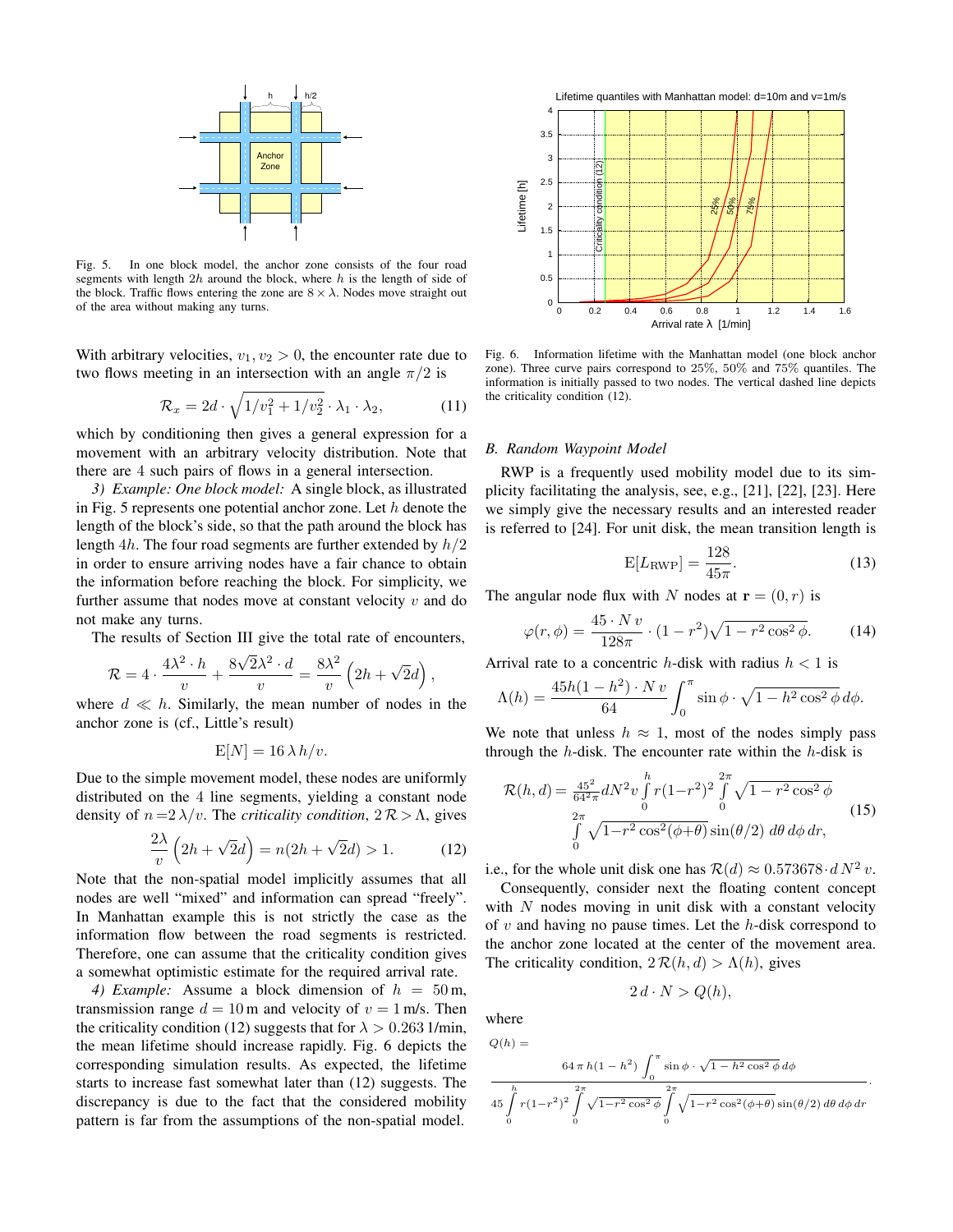

Fig. 5. In one block model, the anchor zone consists of the four road segments with length  $2h$  around the block, where  $h$  is the length of side of the block. Traffic flows entering the zone are  $8 \times \lambda$ . Nodes move straight out of the area without making any turns.

With arbitrary velocities,  $v_1, v_2 > 0$ , the encounter rate due to two flows meeting in an intersection with an angle  $\pi/2$  is

$$
\mathcal{R}_x = 2d \cdot \sqrt{1/v_1^2 + 1/v_2^2} \cdot \lambda_1 \cdot \lambda_2, \tag{11}
$$

which by conditioning then gives a general expression for a movement with an arbitrary velocity distribution. Note that there are 4 such pairs of flows in a general intersection.

*3) Example: One block model:* A single block, as illustrated in Fig. 5 represents one potential anchor zone. Let  $h$  denote the length of the block's side, so that the path around the block has length 4h. The four road segments are further extended by  $h/2$ in order to ensure arriving nodes have a fair chance to obtain the information before reaching the block. For simplicity, we further assume that nodes move at constant velocity  $v$  and do not make any turns.

The results of Section III give the total rate of encounters,

$$
\mathcal{R} = 4 \cdot \frac{4\lambda^2 \cdot h}{v} + \frac{8\sqrt{2}\lambda^2 \cdot d}{v} = \frac{8\lambda^2}{v} \left(2h + \sqrt{2}d\right),
$$

where  $d \ll h$ . Similarly, the mean number of nodes in the anchor zone is (cf., Little's result)

$$
E[N] = 16 \lambda h/v.
$$

Due to the simple movement model, these nodes are uniformly distributed on the 4 line segments, yielding a constant node density of  $n = 2 \lambda/v$ . The *criticality condition*,  $2 \mathcal{R} > \Lambda$ , gives

$$
\frac{2\lambda}{v}\left(2h+\sqrt{2}d\right) = n(2h+\sqrt{2}d) > 1.
$$
 (12)

Note that the non-spatial model implicitly assumes that all nodes are well "mixed" and information can spread "freely". In Manhattan example this is not strictly the case as the information flow between the road segments is restricted. Therefore, one can assume that the criticality condition gives a somewhat optimistic estimate for the required arrival rate.

4) *Example:* Assume a block dimension of  $h = 50$  m, transmission range  $d = 10$  m and velocity of  $v = 1$  m/s. Then the criticality condition (12) suggests that for  $\lambda > 0.263$  1/min, the mean lifetime should increase rapidly. Fig. 6 depicts the corresponding simulation results. As expected, the lifetime starts to increase fast somewhat later than (12) suggests. The discrepancy is due to the fact that the considered mobility pattern is far from the assumptions of the non-spatial model.



Fig. 6. Information lifetime with the Manhattan model (one block anchor zone). Three curve pairs correspond to 25%, 50% and 75% quantiles. The information is initially passed to two nodes. The vertical dashed line depicts the criticality condition (12).

#### *B. Random Waypoint Model*

RWP is a frequently used mobility model due to its simplicity facilitating the analysis, see, e.g., [21], [22], [23]. Here we simply give the necessary results and an interested reader is referred to [24]. For unit disk, the mean transition length is

$$
E[L_{RWP}] = \frac{128}{45\pi}.
$$
\n(13)

The angular node flux with N nodes at  $\mathbf{r} = (0, r)$  is

$$
\varphi(r,\phi) = \frac{45 \cdot N v}{128\pi} \cdot (1 - r^2) \sqrt{1 - r^2 \cos^2 \phi}.
$$
 (14)

Arrival rate to a concentric h-disk with radius  $h < 1$  is

$$
\Lambda(h) = \frac{45h(1-h^2) \cdot N v}{64} \int_0^{\pi} \sin \phi \cdot \sqrt{1-h^2 \cos^2 \phi} \, d\phi.
$$

We note that unless  $h \approx 1$ , most of the nodes simply pass through the  $h$ -disk. The encounter rate within the  $h$ -disk is

$$
\mathcal{R}(h,d) = \frac{45^2}{64^2 \pi} dN^2 v \int_0^h r(1-r^2)^2 \int_0^{2\pi} \sqrt{1-r^2 \cos^2 \phi} \n\int_0^{2\pi} \sqrt{1-r^2 \cos^2(\phi+\theta)} \sin(\theta/2) d\theta d\phi dr,
$$
\n(15)

i.e., for the whole unit disk one has  $\mathcal{R}(d) \approx 0.573678 \cdot d N^2 v$ .

Consequently, consider next the floating content concept with  $N$  nodes moving in unit disk with a constant velocity of  $v$  and having no pause times. Let the  $h$ -disk correspond to the anchor zone located at the center of the movement area. The criticality condition,  $2 \mathcal{R}(h, d) > \Lambda(h)$ , gives

$$
2\,d\cdot N > Q(h),
$$

where

$$
Q(h) =
$$
  
\n
$$
\frac{64 \pi h (1 - h^2) \int_0^{\pi} \sin \phi \cdot \sqrt{1 - h^2 \cos^2 \phi} d\phi}{45 \int_0^h r (1 - r^2)^2 \int_0^{2\pi} \sqrt{1 - r^2 \cos^2 \phi} \int_0^{2\pi} \sqrt{1 - r^2 \cos^2(\phi + \theta)} \sin(\theta/2) d\theta d\phi dr}
$$

.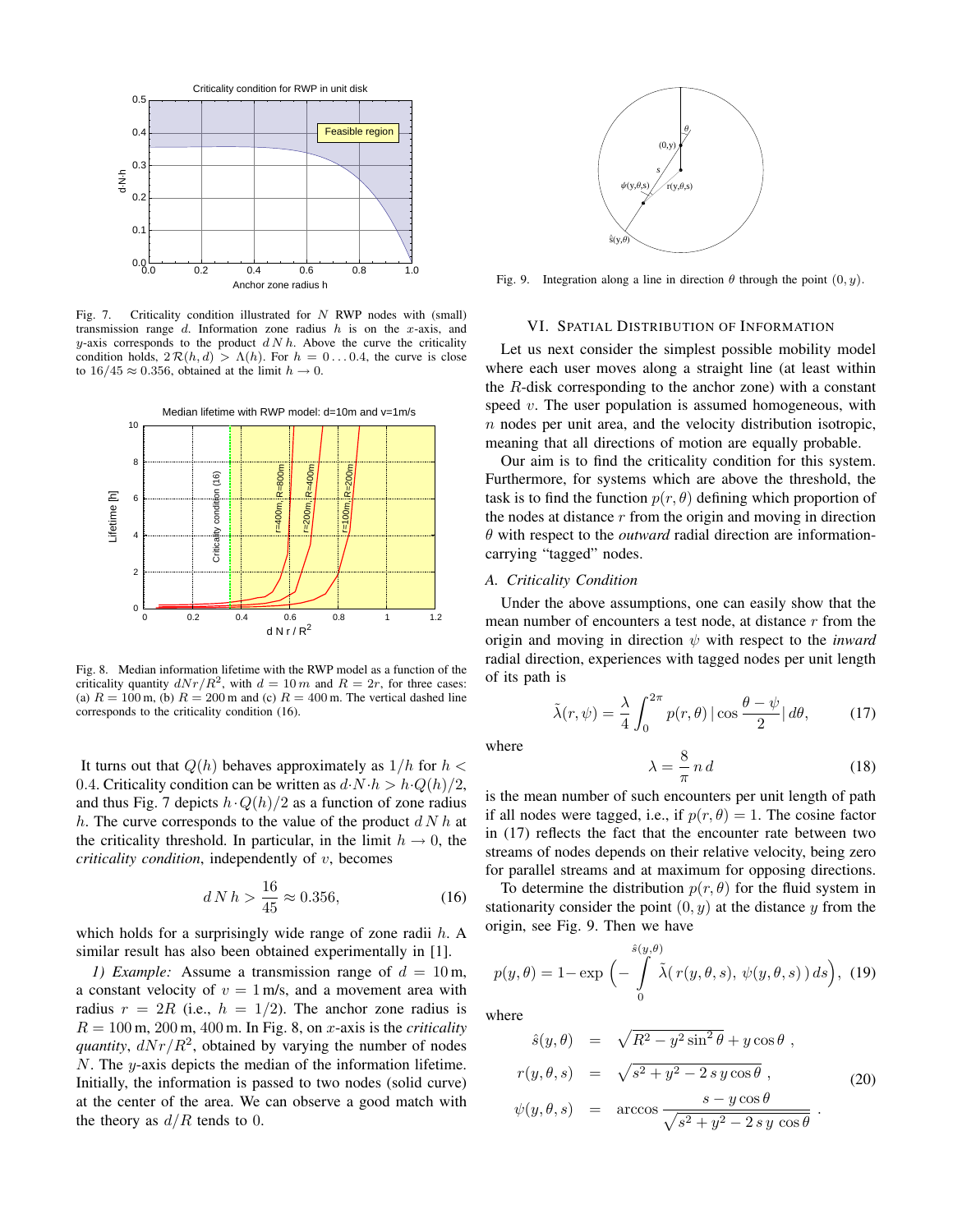

Fig. 7. Criticality condition illustrated for  $N$  RWP nodes with (small) transmission range  $d$ . Information zone radius  $h$  is on the x-axis, and y-axis corresponds to the product  $d N h$ . Above the curve the criticality condition holds,  $2 \mathcal{R}(h, d) > \Lambda(h)$ . For  $h = 0 \dots 0.4$ , the curve is close to  $16/45 \approx 0.356$ , obtained at the limit  $h \to 0$ .



Fig. 8. Median information lifetime with the RWP model as a function of the criticality quantity  $dNr/R^2$ , with  $d = 10 m$  and  $R = 2r$ , for three cases: (a)  $R = 100$  m, (b)  $R = 200$  m and (c)  $R = 400$  m. The vertical dashed line corresponds to the criticality condition (16).

It turns out that  $Q(h)$  behaves approximately as  $1/h$  for  $h <$ 0.4. Criticality condition can be written as  $d \cdot N \cdot h > h \cdot Q(h)/2$ , and thus Fig. 7 depicts  $h \cdot Q(h)/2$  as a function of zone radius h. The curve corresponds to the value of the product  $d N h$  at the criticality threshold. In particular, in the limit  $h \to 0$ , the *criticality condition*, independently of v, becomes

$$
d \, N \, h > \frac{16}{45} \approx 0.356,\tag{16}
$$

which holds for a surprisingly wide range of zone radii  $h$ . A similar result has also been obtained experimentally in [1].

*1) Example:* Assume a transmission range of  $d = 10$  m, a constant velocity of  $v = 1$  m/s, and a movement area with radius  $r = 2R$  (i.e.,  $h = 1/2$ ). The anchor zone radius is  $R = 100$  m, 200 m, 400 m. In Fig. 8, on x-axis is the *criticality quantity*,  $dNr/R^2$ , obtained by varying the number of nodes  $N$ . The  $y$ -axis depicts the median of the information lifetime. Initially, the information is passed to two nodes (solid curve) at the center of the area. We can observe a good match with the theory as  $d/R$  tends to 0.



Fig. 9. Integration along a line in direction  $\theta$  through the point  $(0, y)$ .

## VI. SPATIAL DISTRIBUTION OF INFORMATION

Let us next consider the simplest possible mobility model where each user moves along a straight line (at least within the  $R$ -disk corresponding to the anchor zone) with a constant speed  $v$ . The user population is assumed homogeneous, with  $n$  nodes per unit area, and the velocity distribution isotropic, meaning that all directions of motion are equally probable.

Our aim is to find the criticality condition for this system. Furthermore, for systems which are above the threshold, the task is to find the function  $p(r, \theta)$  defining which proportion of the nodes at distance  $r$  from the origin and moving in direction  $\theta$  with respect to the *outward* radial direction are informationcarrying "tagged" nodes.

# *A. Criticality Condition*

Under the above assumptions, one can easily show that the mean number of encounters a test node, at distance  $r$  from the origin and moving in direction  $\psi$  with respect to the *inward* radial direction, experiences with tagged nodes per unit length of its path is

$$
\tilde{\lambda}(r,\psi) = \frac{\lambda}{4} \int_0^{2\pi} p(r,\theta) |\cos \frac{\theta - \psi}{2}| d\theta, \qquad (17)
$$

where

$$
\lambda = \frac{8}{\pi} n d \tag{18}
$$

is the mean number of such encounters per unit length of path if all nodes were tagged, i.e., if  $p(r, \theta) = 1$ . The cosine factor in (17) reflects the fact that the encounter rate between two streams of nodes depends on their relative velocity, being zero for parallel streams and at maximum for opposing directions.

To determine the distribution  $p(r, \theta)$  for the fluid system in stationarity consider the point  $(0, y)$  at the distance y from the origin, see Fig. 9. Then we have

$$
p(y,\theta) = 1 - \exp\left(-\int_{0}^{\hat{s}(y,\theta)} \tilde{\lambda}(r(y,\theta,s), \psi(y,\theta,s)) ds\right), (19)
$$

where

$$
\hat{s}(y,\theta) = \sqrt{R^2 - y^2 \sin^2 \theta} + y \cos \theta,
$$
  
\n
$$
r(y,\theta,s) = \sqrt{s^2 + y^2 - 2sy \cos \theta},
$$
  
\n
$$
\psi(y,\theta,s) = \arccos \frac{s - y \cos \theta}{\sqrt{s^2 + y^2 - 2sy \cos \theta}}.
$$
\n(20)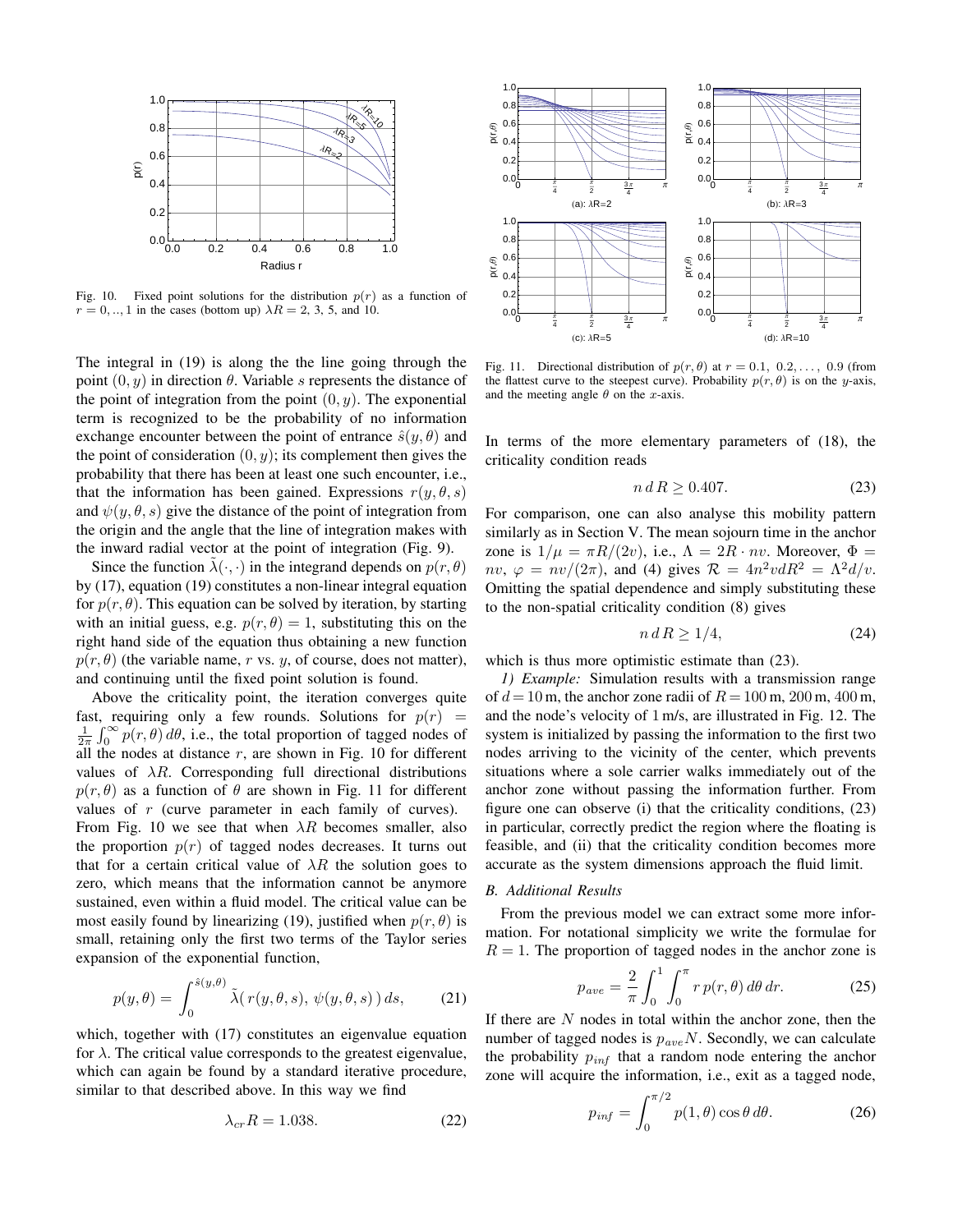

Fig. 10. Fixed point solutions for the distribution  $p(r)$  as a function of  $r = 0, ..., 1$  in the cases (bottom up)  $\lambda R = 2, 3, 5,$  and 10.

The integral in (19) is along the the line going through the point  $(0, y)$  in direction  $\theta$ . Variable s represents the distance of the point of integration from the point  $(0, y)$ . The exponential term is recognized to be the probability of no information exchange encounter between the point of entrance  $\hat{s}(y, \theta)$  and the point of consideration  $(0, y)$ ; its complement then gives the probability that there has been at least one such encounter, i.e., that the information has been gained. Expressions  $r(y, \theta, s)$ and  $\psi(y, \theta, s)$  give the distance of the point of integration from the origin and the angle that the line of integration makes with the inward radial vector at the point of integration (Fig. 9).

Since the function  $\lambda(\cdot, \cdot)$  in the integrand depends on  $p(r, \theta)$ by (17), equation (19) constitutes a non-linear integral equation for  $p(r, \theta)$ . This equation can be solved by iteration, by starting with an initial guess, e.g.  $p(r, \theta) = 1$ , substituting this on the right hand side of the equation thus obtaining a new function  $p(r, \theta)$  (the variable name, r vs. y, of course, does not matter), and continuing until the fixed point solution is found.

Above the criticality point, the iteration converges quite fast, requiring only a few rounds. Solutions for  $p(r)$  =  $\frac{1}{2\pi} \int_0^\infty p(r,\theta) \, d\theta$ , i.e., the total proportion of tagged nodes of all the nodes at distance  $r$ , are shown in Fig. 10 for different values of  $\lambda R$ . Corresponding full directional distributions  $p(r, \theta)$  as a function of  $\theta$  are shown in Fig. 11 for different values of r (curve parameter in each family of curves). From Fig. 10 we see that when  $\lambda R$  becomes smaller, also the proportion  $p(r)$  of tagged nodes decreases. It turns out that for a certain critical value of  $\lambda R$  the solution goes to zero, which means that the information cannot be anymore sustained, even within a fluid model. The critical value can be most easily found by linearizing (19), justified when  $p(r, \theta)$  is small, retaining only the first two terms of the Taylor series expansion of the exponential function,

$$
p(y,\theta) = \int_0^{\hat{s}(y,\theta)} \tilde{\lambda}(r(y,\theta,s), \psi(y,\theta,s)) ds, \qquad (21)
$$

which, together with  $(17)$  constitutes an eigenvalue equation for  $\lambda$ . The critical value corresponds to the greatest eigenvalue, which can again be found by a standard iterative procedure, similar to that described above. In this way we find

$$
\lambda_{cr} R = 1.038. \tag{22}
$$



Fig. 11. Directional distribution of  $p(r, \theta)$  at  $r = 0.1, 0.2, \ldots, 0.9$  (from the flattest curve to the steepest curve). Probability  $p(r, \theta)$  is on the y-axis, and the meeting angle  $\theta$  on the x-axis.

In terms of the more elementary parameters of (18), the criticality condition reads

$$
n d R \ge 0.407. \tag{23}
$$

For comparison, one can also analyse this mobility pattern similarly as in Section V. The mean sojourn time in the anchor zone is  $1/\mu = \pi R/(2v)$ , i.e.,  $\Lambda = 2R \cdot nv$ . Moreover,  $\Phi =$  $nv, \varphi = nv/(2\pi)$ , and (4) gives  $\mathcal{R} = 4n^2vdR^2 = \Lambda^2d/v$ . Omitting the spatial dependence and simply substituting these to the non-spatial criticality condition (8) gives

$$
n \, d \, R \ge 1/4,\tag{24}
$$

which is thus more optimistic estimate than  $(23)$ .

*1) Example:* Simulation results with a transmission range of  $d = 10$  m, the anchor zone radii of  $R = 100$  m,  $200$  m,  $400$  m, and the node's velocity of 1 m/s, are illustrated in Fig. 12. The system is initialized by passing the information to the first two nodes arriving to the vicinity of the center, which prevents situations where a sole carrier walks immediately out of the anchor zone without passing the information further. From figure one can observe (i) that the criticality conditions, (23) in particular, correctly predict the region where the floating is feasible, and (ii) that the criticality condition becomes more accurate as the system dimensions approach the fluid limit.

# *B. Additional Results*

From the previous model we can extract some more information. For notational simplicity we write the formulae for  $R = 1$ . The proportion of tagged nodes in the anchor zone is

$$
p_{ave} = \frac{2}{\pi} \int_0^1 \int_0^{\pi} r p(r,\theta) d\theta dr.
$$
 (25)

If there are  $N$  nodes in total within the anchor zone, then the number of tagged nodes is  $p_{ave}N$ . Secondly, we can calculate the probability  $p_{inf}$  that a random node entering the anchor zone will acquire the information, i.e., exit as a tagged node,

$$
p_{inf} = \int_0^{\pi/2} p(1,\theta) \cos \theta \, d\theta. \tag{26}
$$